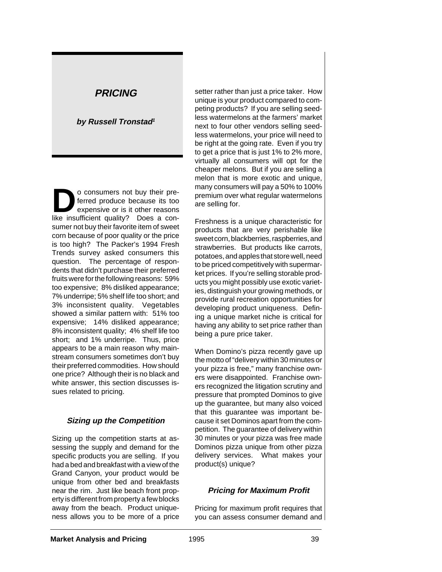# **PRICING**

# **by Russell Tronstad<sup>1</sup>**

**D**o consumers not buy their pre-<br>ferred produce because its too<br>expensive or is it other reasons ferred produce because its too expensive or is it other reasons like insufficient quality? Does a consumer not buy their favorite item of sweet corn because of poor quality or the price is too high? The Packer's 1994 Fresh Trends survey asked consumers this question. The percentage of respondents that didn't purchase their preferred fruits were for the following reasons: 59% too expensive; 8% disliked appearance; 7% underripe; 5% shelf life too short; and 3% inconsistent quality. Vegetables showed a similar pattern with: 51% too expensive; 14% disliked appearance; 8% inconsistent quality; 4% shelf life too short; and 1% underripe. Thus, price appears to be a main reason why mainstream consumers sometimes don't buy their preferred commodities. How should one price? Although their is no black and white answer, this section discusses issues related to pricing.

# **Sizing up the Competition**

Sizing up the competition starts at assessing the supply and demand for the specific products you are selling. If you had a bed and breakfast with a view of the Grand Canyon, your product would be unique from other bed and breakfasts near the rim. Just like beach front property is different from property a few blocks away from the beach. Product uniqueness allows you to be more of a price

setter rather than just a price taker. How unique is your product compared to competing products? If you are selling seedless watermelons at the farmers' market next to four other vendors selling seedless watermelons, your price will need to be right at the going rate. Even if you try to get a price that is just 1% to 2% more, virtually all consumers will opt for the cheaper melons. But if you are selling a melon that is more exotic and unique, many consumers will pay a 50% to 100% premium over what regular watermelons are selling for.

Freshness is a unique characteristic for products that are very perishable like sweet corn, blackberries, raspberries, and strawberries. But products like carrots, potatoes, and apples that store well, need to be priced competitively with supermarket prices. If you're selling storable products you might possibly use exotic varieties, distinguish your growing methods, or provide rural recreation opportunities for developing product uniqueness. Defining a unique market niche is critical for having any ability to set price rather than being a pure price taker.

When Domino's pizza recently gave up the motto of "delivery within 30 minutes or your pizza is free," many franchise owners were disappointed. Franchise owners recognized the litigation scrutiny and pressure that prompted Dominos to give up the guarantee, but many also voiced that this guarantee was important because it set Dominos apart from the competition. The guarantee of delivery within 30 minutes or your pizza was free made Dominos pizza unique from other pizza delivery services. What makes your product(s) unique?

# **Pricing for Maximum Profit**

Pricing for maximum profit requires that you can assess consumer demand and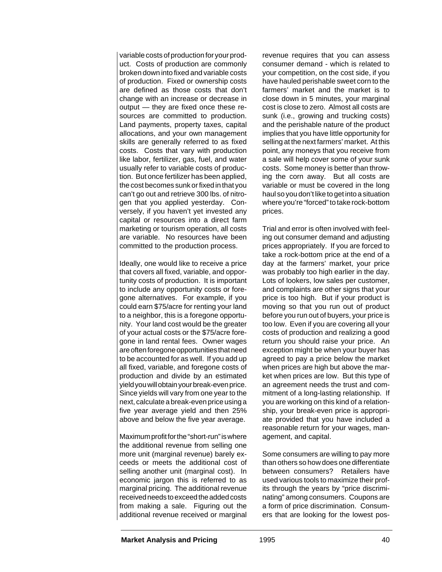variable costs of production for your product. Costs of production are commonly broken down into fixed and variable costs of production. Fixed or ownership costs are defined as those costs that don't change with an increase or decrease in output — they are fixed once these resources are committed to production. Land payments, property taxes, capital allocations, and your own management skills are generally referred to as fixed costs. Costs that vary with production like labor, fertilizer, gas, fuel, and water usually refer to variable costs of production. But once fertilizer has been applied, the cost becomes sunk or fixed in that you can't go out and retrieve 300 lbs. of nitrogen that you applied yesterday. Conversely, if you haven't yet invested any capital or resources into a direct farm marketing or tourism operation, all costs are variable. No resources have been committed to the production process.

Ideally, one would like to receive a price that covers all fixed, variable, and opportunity costs of production. It is important to include any opportunity costs or foregone alternatives. For example, if you could earn \$75/acre for renting your land to a neighbor, this is a foregone opportunity. Your land cost would be the greater of your actual costs or the \$75/acre foregone in land rental fees. Owner wages are often foregone opportunities that need to be accounted for as well. If you add up all fixed, variable, and foregone costs of production and divide by an estimated yield you will obtain your break-even price. Since yields will vary from one year to the next, calculate a break-even price using a five year average yield and then 25% above and below the five year average.

Maximum profit for the "short-run" is where the additional revenue from selling one more unit (marginal revenue) barely exceeds or meets the additional cost of selling another unit (marginal cost). In economic jargon this is referred to as marginal pricing. The additional revenue received needs to exceed the added costs from making a sale. Figuring out the additional revenue received or marginal

revenue requires that you can assess consumer demand - which is related to your competition, on the cost side, if you have hauled perishable sweet corn to the farmers' market and the market is to close down in 5 minutes, your marginal cost is close to zero. Almost all costs are sunk (i.e., growing and trucking costs) and the perishable nature of the product implies that you have little opportunity for selling at the next farmers' market. At this point, any moneys that you receive from a sale will help cover some of your sunk costs. Some money is better than throwing the corn away. But all costs are variable or must be covered in the long haul so you don't like to get into a situation where you're "forced" to take rock-bottom prices.

Trial and error is often involved with feeling out consumer demand and adjusting prices appropriately. If you are forced to take a rock-bottom price at the end of a day at the farmers' market, your price was probably too high earlier in the day. Lots of lookers, low sales per customer, and complaints are other signs that your price is too high. But if your product is moving so that you run out of product before you run out of buyers, your price is too low. Even if you are covering all your costs of production and realizing a good return you should raise your price. An exception might be when your buyer has agreed to pay a price below the market when prices are high but above the market when prices are low. But this type of an agreement needs the trust and commitment of a long-lasting relationship. If you are working on this kind of a relationship, your break-even price is appropriate provided that you have included a reasonable return for your wages, management, and capital.

Some consumers are willing to pay more than others so how does one differentiate between consumers? Retailers have used various tools to maximize their profits through the years by "price discriminating" among consumers. Coupons are a form of price discrimination. Consumers that are looking for the lowest pos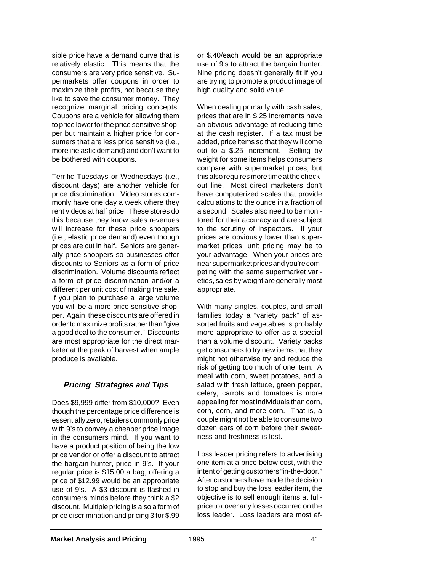sible price have a demand curve that is relatively elastic. This means that the consumers are very price sensitive. Supermarkets offer coupons in order to maximize their profits, not because they like to save the consumer money. They recognize marginal pricing concepts. Coupons are a vehicle for allowing them to price lower for the price sensitive shopper but maintain a higher price for consumers that are less price sensitive (i.e., more inelastic demand) and don't want to be bothered with coupons.

Terrific Tuesdays or Wednesdays (i.e., discount days) are another vehicle for price discrimination. Video stores commonly have one day a week where they rent videos at half price. These stores do this because they know sales revenues will increase for these price shoppers (i.e., elastic price demand) even though prices are cut in half. Seniors are generally price shoppers so businesses offer discounts to Seniors as a form of price discrimination. Volume discounts reflect a form of price discrimination and/or a different per unit cost of making the sale. If you plan to purchase a large volume you will be a more price sensitive shopper. Again, these discounts are offered in order to maximize profits rather than "give a good deal to the consumer." Discounts are most appropriate for the direct marketer at the peak of harvest when ample produce is available.

# **Pricing Strategies and Tips**

Does \$9,999 differ from \$10,000? Even though the percentage price difference is essentially zero, retailers commonly price with 9's to convey a cheaper price image in the consumers mind. If you want to have a product position of being the low price vendor or offer a discount to attract the bargain hunter, price in 9's. If your regular price is \$15.00 a bag, offering a price of \$12.99 would be an appropriate use of 9's. A \$3 discount is flashed in consumers minds before they think a \$2 discount. Multiple pricing is also a form of price discrimination and pricing 3 for \$.99

or \$.40/each would be an appropriate use of 9's to attract the bargain hunter. Nine pricing doesn't generally fit if you are trying to promote a product image of high quality and solid value.

When dealing primarily with cash sales, prices that are in \$.25 increments have an obvious advantage of reducing time at the cash register. If a tax must be added, price items so that they will come out to a \$.25 increment. Selling by weight for some items helps consumers compare with supermarket prices, but this also requires more time at the checkout line. Most direct marketers don't have computerized scales that provide calculations to the ounce in a fraction of a second. Scales also need to be monitored for their accuracy and are subject to the scrutiny of inspectors. If your prices are obviously lower than supermarket prices, unit pricing may be to your advantage. When your prices are near supermarket prices and you're competing with the same supermarket varieties, sales by weight are generally most appropriate.

With many singles, couples, and small families today a "variety pack" of assorted fruits and vegetables is probably more appropriate to offer as a special than a volume discount. Variety packs get consumers to try new items that they might not otherwise try and reduce the risk of getting too much of one item. A meal with corn, sweet potatoes, and a salad with fresh lettuce, green pepper, celery, carrots and tomatoes is more appealing for most individuals than corn, corn, corn, and more corn. That is, a couple might not be able to consume two dozen ears of corn before their sweetness and freshness is lost.

Loss leader pricing refers to advertising one item at a price below cost, with the intent of getting customers "in-the-door." After customers have made the decision to stop and buy the loss leader item, the objective is to sell enough items at fullprice to cover any losses occurred on the loss leader. Loss leaders are most ef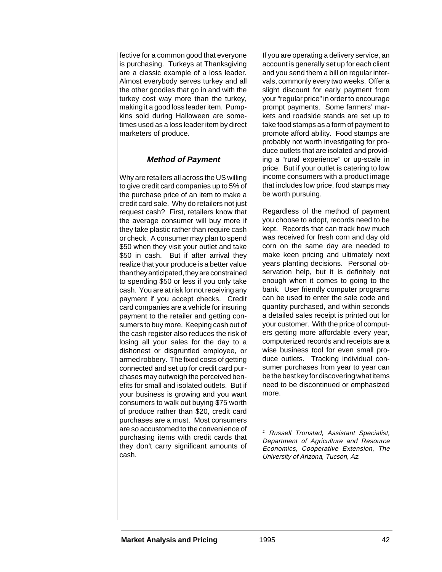fective for a common good that everyone is purchasing. Turkeys at Thanksgiving are a classic example of a loss leader. Almost everybody serves turkey and all the other goodies that go in and with the turkey cost way more than the turkey, making it a good loss leader item. Pumpkins sold during Halloween are sometimes used as a loss leader item by direct marketers of produce.

# **Method of Payment**

Why are retailers all across the US willing to give credit card companies up to 5% of the purchase price of an item to make a credit card sale. Why do retailers not just request cash? First, retailers know that the average consumer will buy more if they take plastic rather than require cash or check. A consumer may plan to spend \$50 when they visit your outlet and take \$50 in cash. But if after arrival they realize that your produce is a better value than they anticipated, they are constrained to spending \$50 or less if you only take cash. You are at risk for not receiving any payment if you accept checks. Credit card companies are a vehicle for insuring payment to the retailer and getting consumers to buy more. Keeping cash out of the cash register also reduces the risk of losing all your sales for the day to a dishonest or disgruntled employee, or armed robbery. The fixed costs of getting connected and set up for credit card purchases may outweigh the perceived benefits for small and isolated outlets. But if your business is growing and you want consumers to walk out buying \$75 worth of produce rather than \$20, credit card purchases are a must. Most consumers are so accustomed to the convenience of purchasing items with credit cards that they don't carry significant amounts of cash.

If you are operating a delivery service, an account is generally set up for each client and you send them a bill on regular intervals, commonly every two weeks. Offer a slight discount for early payment from your "regular price" in order to encourage prompt payments. Some farmers' markets and roadside stands are set up to take food stamps as a form of payment to promote afford ability. Food stamps are probably not worth investigating for produce outlets that are isolated and providing a "rural experience" or up-scale in price. But if your outlet is catering to low income consumers with a product image that includes low price, food stamps may be worth pursuing.

Regardless of the method of payment you choose to adopt, records need to be kept. Records that can track how much was received for fresh corn and day old corn on the same day are needed to make keen pricing and ultimately next years planting decisions. Personal observation help, but it is definitely not enough when it comes to going to the bank. User friendly computer programs can be used to enter the sale code and quantity purchased, and within seconds a detailed sales receipt is printed out for your customer. With the price of computers getting more affordable every year, computerized records and receipts are a wise business tool for even small produce outlets. Tracking individual consumer purchases from year to year can be the best key for discovering what items need to be discontinued or emphasized more.

<sup>1</sup> Russell Tronstad, Assistant Specialist, Department of Agriculture and Resource Economics, Cooperative Extension, The University of Arizona, Tucson, Az.